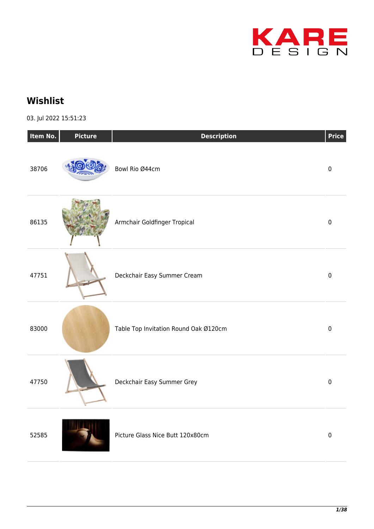

## **Wishlist**

03. Jul 2022 15:51:23

| Item No. | <b>Picture</b> | <b>Description</b>                    | Price     |
|----------|----------------|---------------------------------------|-----------|
| 38706    |                | Bowl Rio Ø44cm                        | $\pmb{0}$ |
| 86135    |                | Armchair Goldfinger Tropical          | $\pmb{0}$ |
| 47751    |                | Deckchair Easy Summer Cream           | $\pmb{0}$ |
| 83000    |                | Table Top Invitation Round Oak Ø120cm | $\pmb{0}$ |
| 47750    |                | Deckchair Easy Summer Grey            | $\pmb{0}$ |
| 52585    |                | Picture Glass Nice Butt 120x80cm      | $\pmb{0}$ |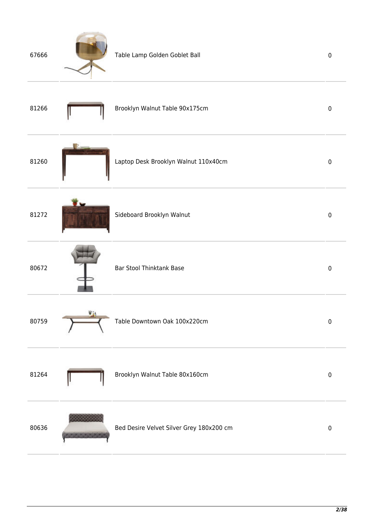| 67666 |    | Table Lamp Golden Goblet Ball            | $\pmb{0}$ |
|-------|----|------------------------------------------|-----------|
| 81266 |    | Brooklyn Walnut Table 90x175cm           | $\pmb{0}$ |
| 81260 |    | Laptop Desk Brooklyn Walnut 110x40cm     | $\pmb{0}$ |
| 81272 |    | Sideboard Brooklyn Walnut                | $\pmb{0}$ |
| 80672 |    | Bar Stool Thinktank Base                 | $\pmb{0}$ |
| 80759 | V. | Table Downtown Oak 100x220cm             | $\pmb{0}$ |
| 81264 |    | Brooklyn Walnut Table 80x160cm           | $\pmb{0}$ |
| 80636 |    | Bed Desire Velvet Silver Grey 180x200 cm | $\pmb{0}$ |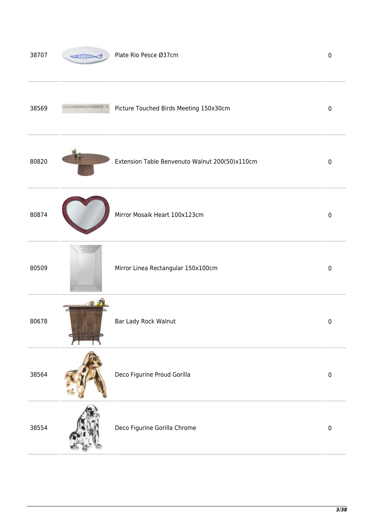| 38707 | Plate Rio Pesce Ø37cm                          | $\mathbf 0$ |
|-------|------------------------------------------------|-------------|
| 38569 | Picture Touched Birds Meeting 150x30cm         | $\mathbf 0$ |
| 80820 | Extension Table Benvenuto Walnut 200(50)x110cm | 0           |
| 80874 | Mirror Mosaik Heart 100x123cm                  | $\pmb{0}$   |
| 80509 | Mirror Linea Rectangular 150x100cm             | $\pmb{0}$   |
| 80678 | Bar Lady Rock Walnut                           | $\pmb{0}$   |
| 38564 | Deco Figurine Proud Gorilla                    | $\pmb{0}$   |
| 38554 | Deco Figurine Gorilla Chrome                   | $\pmb{0}$   |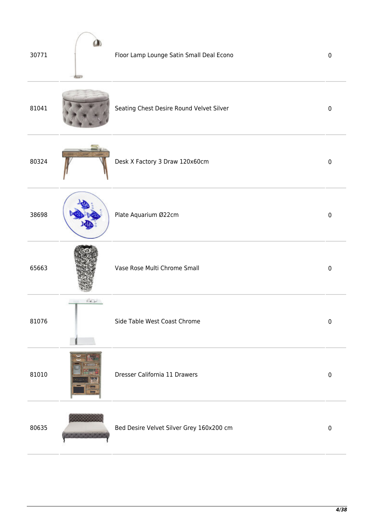| 30771 |            | Floor Lamp Lounge Satin Small Deal Econo | $\pmb{0}$   |
|-------|------------|------------------------------------------|-------------|
| 81041 |            | Seating Chest Desire Round Velvet Silver | $\mathbf 0$ |
| 80324 |            | Desk X Factory 3 Draw 120x60cm           | $\mathbf 0$ |
| 38698 |            | Plate Aquarium Ø22cm                     | $\mathbf 0$ |
| 65663 |            | Vase Rose Multi Chrome Small             | $\mathbf 0$ |
| 81076 | <b>BOL</b> | Side Table West Coast Chrome             | $\pmb{0}$   |
| 81010 |            | Dresser California 11 Drawers            | $\pmb{0}$   |
| 80635 |            | Bed Desire Velvet Silver Grey 160x200 cm | $\pmb{0}$   |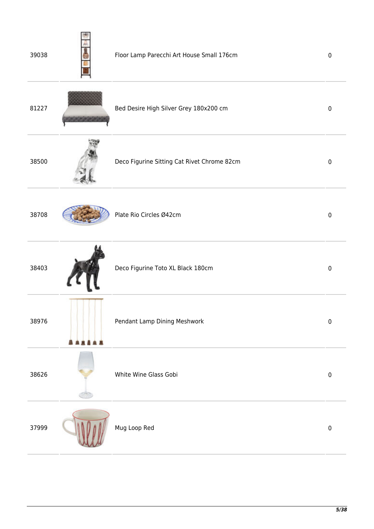| 39038 | Floor Lamp Parecchi Art House Small 176cm   | $\mathbf 0$ |
|-------|---------------------------------------------|-------------|
| 81227 | Bed Desire High Silver Grey 180x200 cm      | $\mathbf 0$ |
| 38500 | Deco Figurine Sitting Cat Rivet Chrome 82cm | $\pmb{0}$   |
| 38708 | Plate Rio Circles Ø42cm                     | $\pmb{0}$   |
| 38403 | Deco Figurine Toto XL Black 180cm           | $\mathbf 0$ |
| 38976 | Pendant Lamp Dining Meshwork                | $\pmb{0}$   |
| 38626 | White Wine Glass Gobi                       | $\pmb{0}$   |
| 37999 | Mug Loop Red                                | $\pmb{0}$   |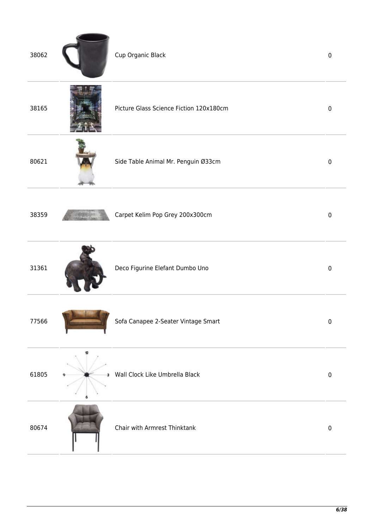| 38062 |        | Cup Organic Black                       | $\pmb{0}$ |
|-------|--------|-----------------------------------------|-----------|
| 38165 |        | Picture Glass Science Fiction 120x180cm | $\pmb{0}$ |
| 80621 |        | Side Table Animal Mr. Penguin Ø33cm     | $\pmb{0}$ |
| 38359 |        | Carpet Kelim Pop Grey 200x300cm         | $\pmb{0}$ |
| 31361 |        | Deco Figurine Elefant Dumbo Uno         | $\pmb{0}$ |
| 77566 |        | Sofa Canapee 2-Seater Vintage Smart     | $\pmb{0}$ |
| 61805 | о<br>з | Wall Clock Like Umbrella Black          | $\pmb{0}$ |
| 80674 |        | Chair with Armrest Thinktank            | $\pmb{0}$ |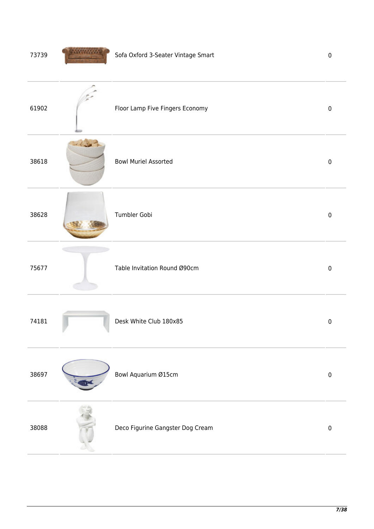| 73739 |      | Sofa Oxford 3-Seater Vintage Smart | $\pmb{0}$   |
|-------|------|------------------------------------|-------------|
| 61902 |      | Floor Lamp Five Fingers Economy    | $\pmb{0}$   |
| 38618 | $-1$ | <b>Bowl Muriel Assorted</b>        | $\pmb{0}$   |
| 38628 |      | Tumbler Gobi                       | $\pmb{0}$   |
| 75677 |      | Table Invitation Round Ø90cm       | $\pmb{0}$   |
| 74181 |      | Desk White Club 180x85             | $\pmb{0}$   |
| 38697 |      | Bowl Aquarium Ø15cm                | $\pmb{0}$   |
| 38088 |      | Deco Figurine Gangster Dog Cream   | $\mathbf 0$ |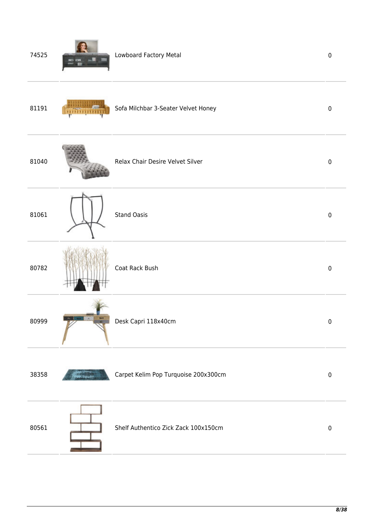| 74525 | Lowboard Factory Metal               | $\pmb{0}$ |
|-------|--------------------------------------|-----------|
| 81191 | Sofa Milchbar 3-Seater Velvet Honey  | $\pmb{0}$ |
| 81040 | Relax Chair Desire Velvet Silver     | $\pmb{0}$ |
| 81061 | <b>Stand Oasis</b>                   | $\pmb{0}$ |
| 80782 | Coat Rack Bush                       | $\pmb{0}$ |
| 80999 | Desk Capri 118x40cm                  | $\pmb{0}$ |
| 38358 | Carpet Kelim Pop Turquoise 200x300cm | $\pmb{0}$ |
| 80561 | Shelf Authentico Zick Zack 100x150cm | $\pmb{0}$ |
|       |                                      |           |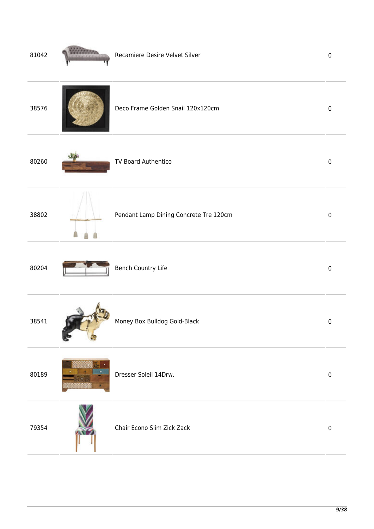| 81042 | Recamiere Desire Velvet Silver         | $\pmb{0}$   |
|-------|----------------------------------------|-------------|
| 38576 | Deco Frame Golden Snail 120x120cm      | $\pmb{0}$   |
| 80260 | TV Board Authentico                    | $\pmb{0}$   |
| 38802 | Pendant Lamp Dining Concrete Tre 120cm | $\pmb{0}$   |
| 80204 | Bench Country Life                     | $\pmb{0}$   |
| 38541 | Money Box Bulldog Gold-Black           | $\pmb{0}$   |
| 80189 | Dresser Soleil 14Drw.                  | $\pmb{0}$   |
| 79354 | Chair Econo Slim Zick Zack             | $\mathbf 0$ |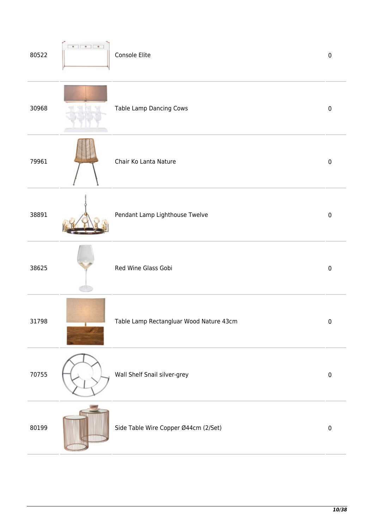| 80522 | Console Elite                           | $\pmb{0}$ |
|-------|-----------------------------------------|-----------|
| 30968 | Table Lamp Dancing Cows                 | $\pmb{0}$ |
| 79961 | Chair Ko Lanta Nature                   | $\pmb{0}$ |
| 38891 | Pendant Lamp Lighthouse Twelve          | $\pmb{0}$ |
| 38625 | Red Wine Glass Gobi                     | $\pmb{0}$ |
| 31798 | Table Lamp Rectangluar Wood Nature 43cm | $\pmb{0}$ |
| 70755 | Wall Shelf Snail silver-grey            | $\pmb{0}$ |
| 80199 | Side Table Wire Copper Ø44cm (2/Set)    | $\pmb{0}$ |
|       |                                         |           |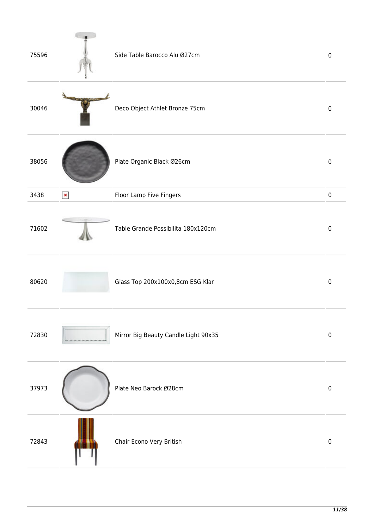| 75596 |                | Side Table Barocco Alu Ø27cm         | $\mathbf 0$ |
|-------|----------------|--------------------------------------|-------------|
| 30046 |                | Deco Object Athlet Bronze 75cm       | $\mathbf 0$ |
| 38056 |                | Plate Organic Black Ø26cm            | $\pmb{0}$   |
| 3438  | $\pmb{\times}$ | Floor Lamp Five Fingers              | $\pmb{0}$   |
| 71602 |                | Table Grande Possibilita 180x120cm   | $\mathbf 0$ |
| 80620 |                | Glass Top 200x100x0,8cm ESG Klar     | $\mathbf 0$ |
| 72830 |                | Mirror Big Beauty Candle Light 90x35 | $\pmb{0}$   |
| 37973 |                | Plate Neo Barock Ø28cm               | $\pmb{0}$   |
| 72843 |                | Chair Econo Very British             | $\pmb{0}$   |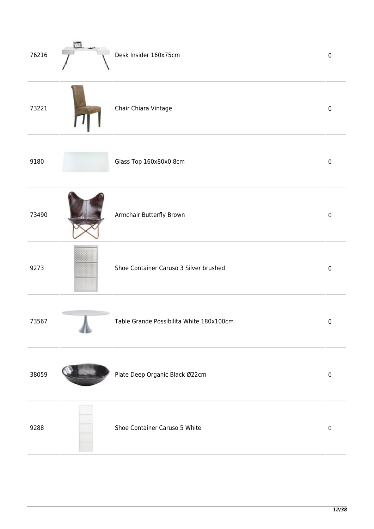| 76216 | îщ,<br>$-$ | Desk Insider 160x75cm                    | $\pmb{0}$ |
|-------|------------|------------------------------------------|-----------|
| 73221 |            | Chair Chiara Vintage                     | $\pmb{0}$ |
| 9180  |            | Glass Top 160x80x0,8cm                   | $\pmb{0}$ |
| 73490 |            | Armchair Butterfly Brown                 | $\pmb{0}$ |
| 9273  |            | Shoe Container Caruso 3 Silver brushed   | $\pmb{0}$ |
| 73567 |            | Table Grande Possibilita White 180x100cm | $\pmb{0}$ |
| 38059 |            | Plate Deep Organic Black Ø22cm           | $\pmb{0}$ |
| 9288  |            | Shoe Container Caruso 5 White            | $\pmb{0}$ |
|       |            |                                          |           |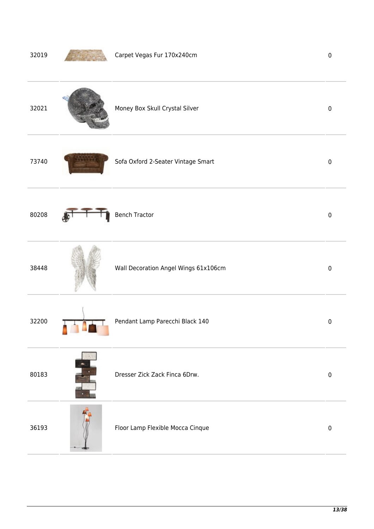| 32019 | Carpet Vegas Fur 170x240cm           | $\pmb{0}$ |
|-------|--------------------------------------|-----------|
| 32021 | Money Box Skull Crystal Silver       | $\pmb{0}$ |
| 73740 | Sofa Oxford 2-Seater Vintage Smart   | $\pmb{0}$ |
| 80208 | <b>Bench Tractor</b>                 | $\pmb{0}$ |
| 38448 | Wall Decoration Angel Wings 61x106cm | $\pmb{0}$ |
| 32200 | Pendant Lamp Parecchi Black 140      | $\pmb{0}$ |
| 80183 | Dresser Zick Zack Finca 6Drw.        | $\pmb{0}$ |
| 36193 | Floor Lamp Flexible Mocca Cinque     | $\pmb{0}$ |
|       |                                      |           |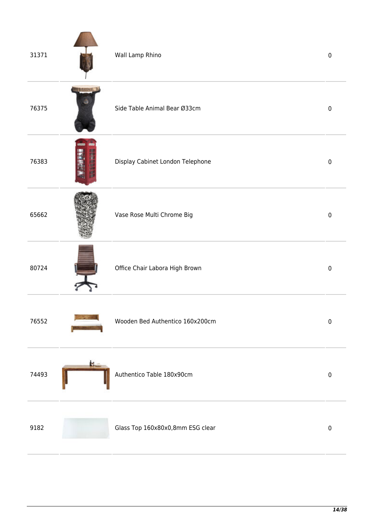| 31371 |    | Wall Lamp Rhino                  | $\pmb{0}$ |
|-------|----|----------------------------------|-----------|
| 76375 |    | Side Table Animal Bear Ø33cm     | $\pmb{0}$ |
| 76383 |    | Display Cabinet London Telephone | $\pmb{0}$ |
| 65662 |    | Vase Rose Multi Chrome Big       | $\pmb{0}$ |
| 80724 |    | Office Chair Labora High Brown   | $\pmb{0}$ |
| 76552 |    | Wooden Bed Authentico 160x200cm  | $\pmb{0}$ |
| 74493 | м. | Authentico Table 180x90cm        | $\pmb{0}$ |
| 9182  |    | Glass Top 160x80x0,8mm ESG clear | $\pmb{0}$ |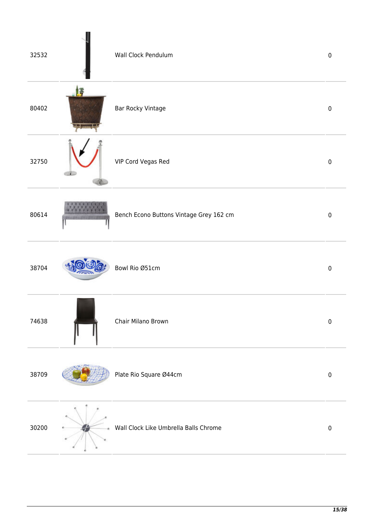| 32532 | Wall Clock Pendulum                     | $\pmb{0}$   |
|-------|-----------------------------------------|-------------|
| 80402 | <b>Bar Rocky Vintage</b>                | $\pmb{0}$   |
| 32750 | VIP Cord Vegas Red                      | $\pmb{0}$   |
| 80614 | Bench Econo Buttons Vintage Grey 162 cm | $\mathbf 0$ |
| 38704 | Bowl Rio Ø51cm                          | $\pmb{0}$   |
| 74638 | Chair Milano Brown                      | $\pmb{0}$   |
| 38709 | Plate Rio Square Ø44cm                  | $\pmb{0}$   |
| 30200 | Wall Clock Like Umbrella Balls Chrome   | $\pmb{0}$   |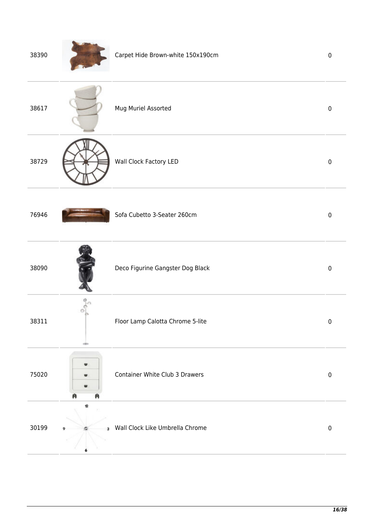| 38390 |             | Carpet Hide Brown-white 150x190cm | $\pmb{0}$ |
|-------|-------------|-----------------------------------|-----------|
| 38617 |             | Mug Muriel Assorted               | $\pmb{0}$ |
| 38729 |             | Wall Clock Factory LED            | $\pmb{0}$ |
| 76946 |             | Sofa Cubetto 3-Seater 260cm       | $\pmb{0}$ |
| 38090 |             | Deco Figurine Gangster Dog Black  | $\pmb{0}$ |
| 38311 | o<br>video. | Floor Lamp Calotta Chrome 5-lite  | $\pmb{0}$ |
| 75020 |             | Container White Club 3 Drawers    | $\pmb{0}$ |
| 30199 | 12<br>з     | Wall Clock Like Umbrella Chrome   | $\pmb{0}$ |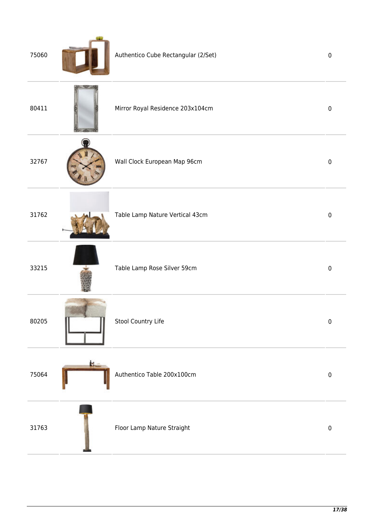| 75060 |    | Authentico Cube Rectangular (2/Set) | $\mathbf 0$ |
|-------|----|-------------------------------------|-------------|
| 80411 |    | Mirror Royal Residence 203x104cm    | $\mathbf 0$ |
| 32767 |    | Wall Clock European Map 96cm        | $\mathbf 0$ |
| 31762 |    | Table Lamp Nature Vertical 43cm     | $\pmb{0}$   |
| 33215 |    | Table Lamp Rose Silver 59cm         | $\pmb{0}$   |
| 80205 |    | Stool Country Life                  | $\pmb{0}$   |
| 75064 | ь. | Authentico Table 200x100cm          | $\pmb{0}$   |
| 31763 |    | Floor Lamp Nature Straight          | $\pmb{0}$   |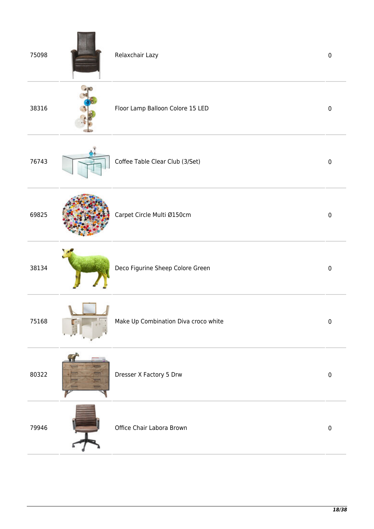| 75098 | Relaxchair Lazy                      | $\pmb{0}$ |
|-------|--------------------------------------|-----------|
| 38316 | Floor Lamp Balloon Colore 15 LED     | $\pmb{0}$ |
| 76743 | Coffee Table Clear Club (3/Set)      | $\pmb{0}$ |
| 69825 | Carpet Circle Multi Ø150cm           | $\pmb{0}$ |
| 38134 | Deco Figurine Sheep Colore Green     | $\pmb{0}$ |
| 75168 | Make Up Combination Diva croco white | $\pmb{0}$ |
| 80322 | Dresser X Factory 5 Drw              | $\pmb{0}$ |
| 79946 | Office Chair Labora Brown            | $\pmb{0}$ |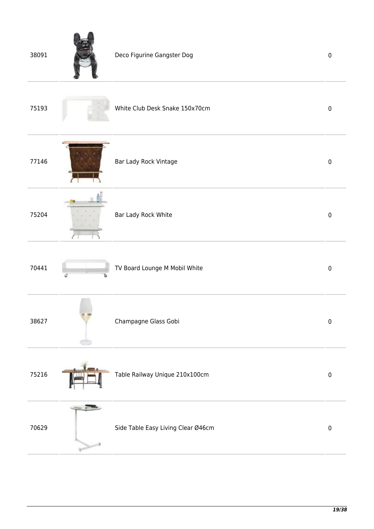| 38091 | Deco Figurine Gangster Dog         | $\pmb{0}$   |
|-------|------------------------------------|-------------|
| 75193 | White Club Desk Snake 150x70cm     | $\mathbf 0$ |
| 77146 | Bar Lady Rock Vintage              | $\mathbf 0$ |
| 75204 | Bar Lady Rock White                | $\mathbf 0$ |
| 70441 | TV Board Lounge M Mobil White      | $\pmb{0}$   |
| 38627 | Champagne Glass Gobi               | $\pmb{0}$   |
| 75216 | Table Railway Unique 210x100cm     | $\pmb{0}$   |
| 70629 | Side Table Easy Living Clear Ø46cm | $\pmb{0}$   |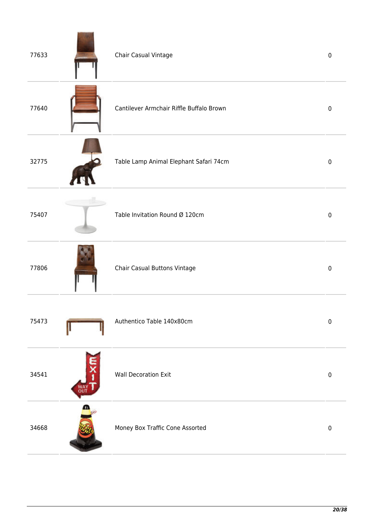| 77633 |                                       | Chair Casual Vintage                     | $\mathbf 0$ |
|-------|---------------------------------------|------------------------------------------|-------------|
| 77640 |                                       | Cantilever Armchair Riffle Buffalo Brown | $\pmb{0}$   |
| 32775 |                                       | Table Lamp Animal Elephant Safari 74cm   | $\pmb{0}$   |
| 75407 |                                       | Table Invitation Round Ø 120cm           | $\pmb{0}$   |
| 77806 |                                       | Chair Casual Buttons Vintage             | $\pmb{0}$   |
| 75473 |                                       | Authentico Table 140x80cm                | $\pmb{0}$   |
| 34541 | $\overline{\mathbf{x}}$<br>WAY<br>OUT | <b>Wall Decoration Exit</b>              | $\pmb{0}$   |
| 34668 | ⋒                                     | Money Box Traffic Cone Assorted          | $\pmb{0}$   |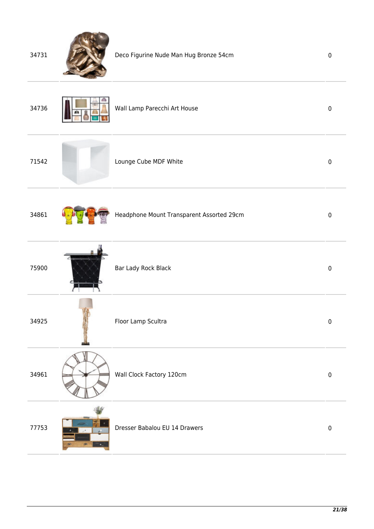| 34731 | Deco Figurine Nude Man Hug Bronze 54cm    | $\pmb{0}$ |
|-------|-------------------------------------------|-----------|
| 34736 | Wall Lamp Parecchi Art House              | $\pmb{0}$ |
| 71542 | Lounge Cube MDF White                     | $\pmb{0}$ |
| 34861 | Headphone Mount Transparent Assorted 29cm | $\pmb{0}$ |
| 75900 | Bar Lady Rock Black                       | $\pmb{0}$ |
| 34925 | Floor Lamp Scultra                        | $\pmb{0}$ |
| 34961 | Wall Clock Factory 120cm                  | $\pmb{0}$ |
| 77753 | Dresser Babalou EU 14 Drawers             | $\pmb{0}$ |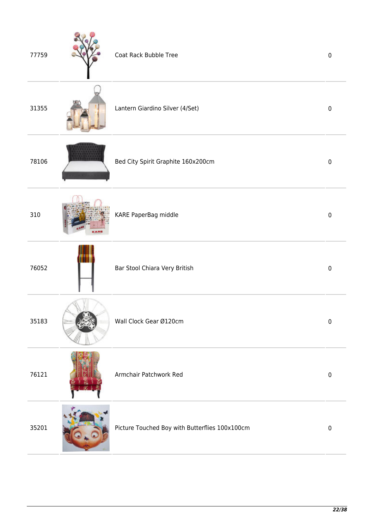| 77759 | Coat Rack Bubble Tree                          | $\mathbf 0$ |
|-------|------------------------------------------------|-------------|
| 31355 | Lantern Giardino Silver (4/Set)                | $\mathbf 0$ |
| 78106 | Bed City Spirit Graphite 160x200cm             | $\pmb{0}$   |
| 310   | KARE PaperBag middle                           | $\pmb{0}$   |
| 76052 | Bar Stool Chiara Very British                  | $\pmb{0}$   |
| 35183 | Wall Clock Gear Ø120cm                         | $\pmb{0}$   |
| 76121 | Armchair Patchwork Red                         | $\pmb{0}$   |
| 35201 | Picture Touched Boy with Butterflies 100x100cm | $\pmb{0}$   |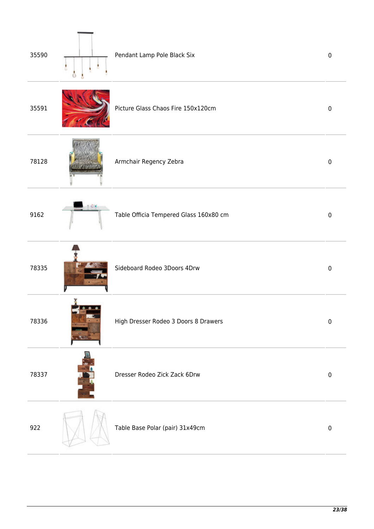| 35590 | Pendant Lamp Pole Black Six            | $\mathbf 0$ |
|-------|----------------------------------------|-------------|
| 35591 | Picture Glass Chaos Fire 150x120cm     | $\mathbf 0$ |
| 78128 | Armchair Regency Zebra                 | $\mathbf 0$ |
| 9162  | Table Officia Tempered Glass 160x80 cm | $\mathbf 0$ |
| 78335 | Sideboard Rodeo 3Doors 4Drw            | $\mathbf 0$ |
| 78336 | High Dresser Rodeo 3 Doors 8 Drawers   | $\pmb{0}$   |
| 78337 | Dresser Rodeo Zick Zack 6Drw           | $\pmb{0}$   |
| 922   | Table Base Polar (pair) 31x49cm        | $\pmb{0}$   |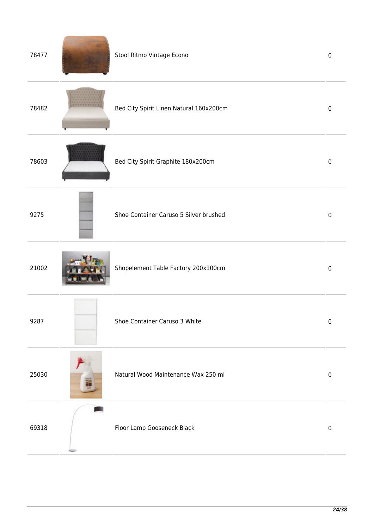| 78477 | Stool Ritmo Vintage Econo               | $\pmb{0}$    |
|-------|-----------------------------------------|--------------|
| 78482 | Bed City Spirit Linen Natural 160x200cm | $\mathbf 0$  |
| 78603 | Bed City Spirit Graphite 180x200cm      | $\mathbf 0$  |
| 9275  | Shoe Container Caruso 5 Silver brushed  | $\mathbf{0}$ |
| 21002 | Shopelement Table Factory 200x100cm     | $\mathbf{0}$ |
| 9287  | Shoe Container Caruso 3 White           | $\pmb{0}$    |
| 25030 | Natural Wood Maintenance Wax 250 ml     | $\pmb{0}$    |
| 69318 | Floor Lamp Gooseneck Black              | $\pmb{0}$    |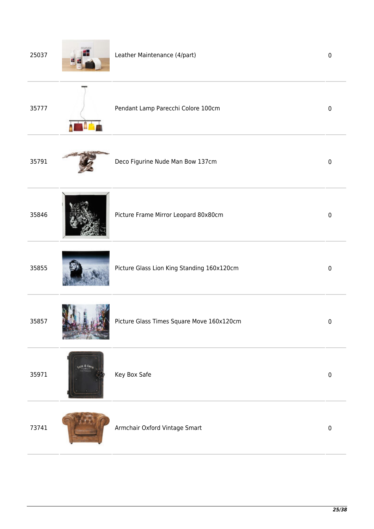| 25037 | Leather Maintenance (4/part)               | $\mathbf 0$ |
|-------|--------------------------------------------|-------------|
| 35777 | Pendant Lamp Parecchi Colore 100cm         | $\mathbf 0$ |
| 35791 | Deco Figurine Nude Man Bow 137cm           | $\pmb{0}$   |
| 35846 | Picture Frame Mirror Leopard 80x80cm       | $\pmb{0}$   |
| 35855 | Picture Glass Lion King Standing 160x120cm | $\pmb{0}$   |
| 35857 | Picture Glass Times Square Move 160x120cm  | $\pmb{0}$   |
| 35971 | Key Box Safe                               | $\pmb{0}$   |
| 73741 | Armchair Oxford Vintage Smart              | $\mathbf 0$ |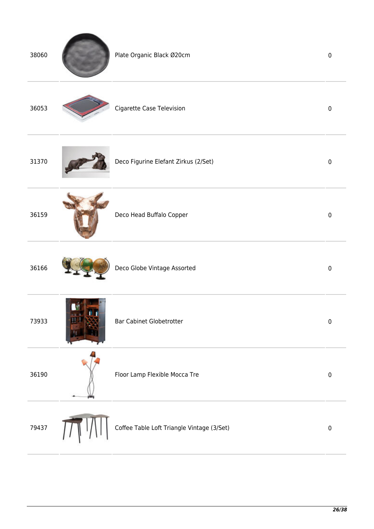| 38060 | Plate Organic Black Ø20cm                  | $\pmb{0}$ |
|-------|--------------------------------------------|-----------|
| 36053 | Cigarette Case Television                  | $\pmb{0}$ |
| 31370 | Deco Figurine Elefant Zirkus (2/Set)       | $\pmb{0}$ |
| 36159 | Deco Head Buffalo Copper                   | $\pmb{0}$ |
| 36166 | Deco Globe Vintage Assorted                | $\pmb{0}$ |
| 73933 | <b>Bar Cabinet Globetrotter</b>            | $\pmb{0}$ |
| 36190 | Floor Lamp Flexible Mocca Tre              | $\pmb{0}$ |
| 79437 | Coffee Table Loft Triangle Vintage (3/Set) | $\pmb{0}$ |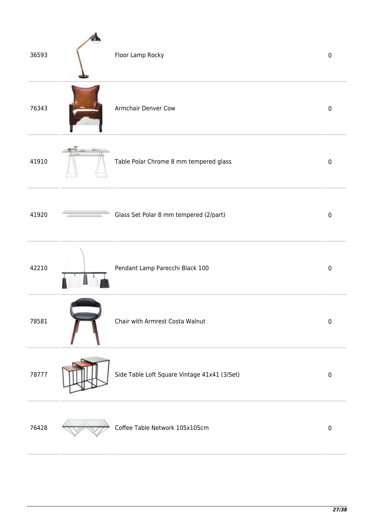| 36593 | Floor Lamp Rocky                             | $\pmb{0}$ |
|-------|----------------------------------------------|-----------|
| 76343 | Armchair Denver Cow                          | $\pmb{0}$ |
| 41910 | Table Polar Chrome 8 mm tempered glass       | $\pmb{0}$ |
| 41920 | Glass Set Polar 8 mm tempered (2/part)       | $\pmb{0}$ |
| 42210 | Pendant Lamp Parecchi Black 100              | $\pmb{0}$ |
| 78581 | Chair with Armrest Costa Walnut              | $\pmb{0}$ |
| 78777 | Side Table Loft Square Vintage 41x41 (3/Set) | $\pmb{0}$ |
| 76428 | Coffee Table Network 105x105cm               | $\pmb{0}$ |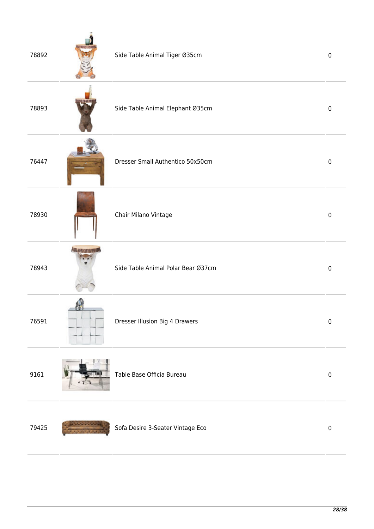| 78892 | Side Table Animal Tiger Ø35cm      | $\pmb{0}$   |
|-------|------------------------------------|-------------|
| 78893 | Side Table Animal Elephant Ø35cm   | $\pmb{0}$   |
| 76447 | Dresser Small Authentico 50x50cm   | $\mathbf 0$ |
| 78930 | Chair Milano Vintage               | $\pmb{0}$   |
| 78943 | Side Table Animal Polar Bear Ø37cm | $\pmb{0}$   |
| 76591 | Dresser Illusion Big 4 Drawers     | $\pmb{0}$   |
| 9161  | Table Base Officia Bureau          | $\pmb{0}$   |
| 79425 | Sofa Desire 3-Seater Vintage Eco   | $\pmb{0}$   |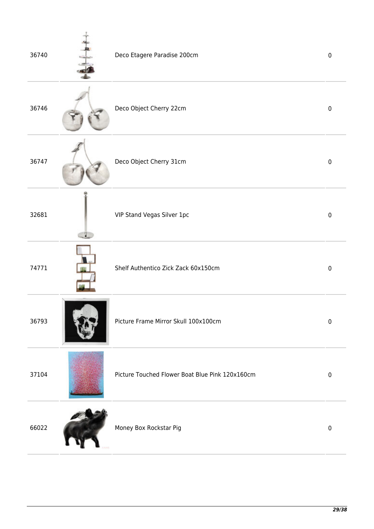| 36740 | Deco Etagere Paradise 200cm                     | $\pmb{0}$ |
|-------|-------------------------------------------------|-----------|
| 36746 | Deco Object Cherry 22cm                         | $\pmb{0}$ |
| 36747 | Deco Object Cherry 31cm                         | $\pmb{0}$ |
| 32681 | VIP Stand Vegas Silver 1pc                      | $\pmb{0}$ |
| 74771 | Shelf Authentico Zick Zack 60x150cm             | $\pmb{0}$ |
| 36793 | Picture Frame Mirror Skull 100x100cm            | $\pmb{0}$ |
| 37104 | Picture Touched Flower Boat Blue Pink 120x160cm | $\pmb{0}$ |
| 66022 | Money Box Rockstar Pig                          | $\pmb{0}$ |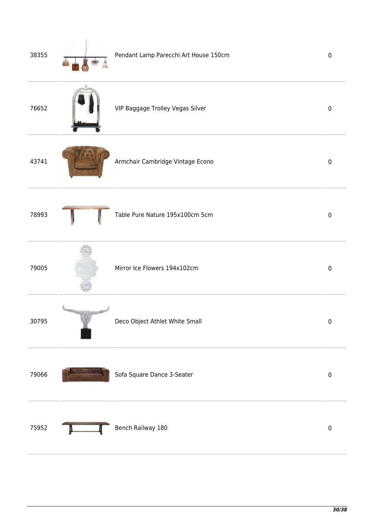| 38355 | Pendant Lamp Parecchi Art House 150cm | $\pmb{0}$ |
|-------|---------------------------------------|-----------|
| 76652 | VIP Baggage Trolley Vegas Silver      | $\pmb{0}$ |
| 43741 | Armchair Cambridge Vintage Econo      | $\pmb{0}$ |
| 78993 | Table Pure Nature 195x100cm 5cm       | $\pmb{0}$ |
| 79005 | Mirror Ice Flowers 194x102cm          | $\pmb{0}$ |
| 30795 | Deco Object Athlet White Small        | $\pmb{0}$ |
| 79066 | Sofa Square Dance 3-Seater            | $\pmb{0}$ |
| 75952 | Bench Railway 180                     | $\pmb{0}$ |
|       |                                       |           |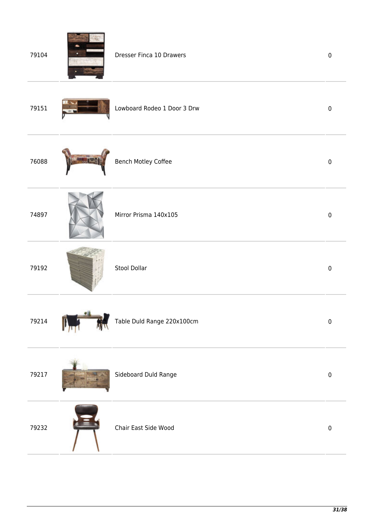| 79104 |    | Dresser Finca 10 Drawers    | $\pmb{0}$ |
|-------|----|-----------------------------|-----------|
| 79151 |    | Lowboard Rodeo 1 Door 3 Drw | $\pmb{0}$ |
| 76088 |    | <b>Bench Motley Coffee</b>  | $\pmb{0}$ |
| 74897 |    | Mirror Prisma 140x105       | $\pmb{0}$ |
| 79192 |    | Stool Dollar                | $\pmb{0}$ |
| 79214 | 受証 | Table Duld Range 220x100cm  | $\pmb{0}$ |
| 79217 |    | Sideboard Duld Range        | $\pmb{0}$ |
| 79232 |    | Chair East Side Wood        | $\pmb{0}$ |
|       |    |                             |           |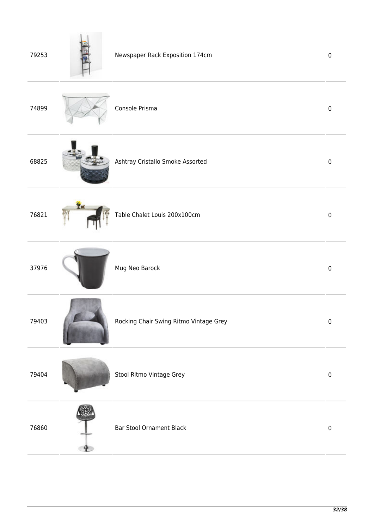| 79253 |    | Newspaper Rack Exposition 174cm        | $\pmb{0}$ |
|-------|----|----------------------------------------|-----------|
| 74899 |    | Console Prisma                         | $\pmb{0}$ |
| 68825 |    | Ashtray Cristallo Smoke Assorted       | $\pmb{0}$ |
| 76821 | Ϊ× | Table Chalet Louis 200x100cm           | $\pmb{0}$ |
| 37976 |    | Mug Neo Barock                         | $\pmb{0}$ |
| 79403 |    | Rocking Chair Swing Ritmo Vintage Grey | $\pmb{0}$ |
| 79404 |    | Stool Ritmo Vintage Grey               | $\pmb{0}$ |
| 76860 |    | <b>Bar Stool Ornament Black</b>        | $\pmb{0}$ |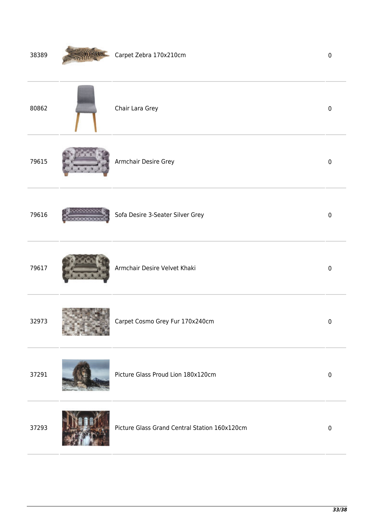| 38389 | Carpet Zebra 170x210cm                        | $\pmb{0}$   |
|-------|-----------------------------------------------|-------------|
| 80862 | Chair Lara Grey                               | $\pmb{0}$   |
| 79615 | Armchair Desire Grey                          | $\pmb{0}$   |
| 79616 | Sofa Desire 3-Seater Silver Grey              | $\pmb{0}$   |
| 79617 | Armchair Desire Velvet Khaki                  | $\pmb{0}$   |
| 32973 | Carpet Cosmo Grey Fur 170x240cm               | $\pmb{0}$   |
| 37291 | Picture Glass Proud Lion 180x120cm            | $\pmb{0}$   |
| 37293 | Picture Glass Grand Central Station 160x120cm | $\mathbf 0$ |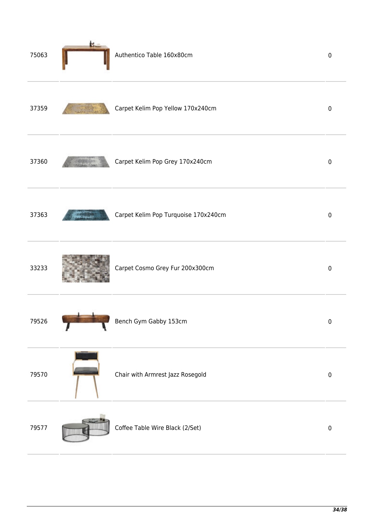| 75063 | k. | Authentico Table 160x80cm            | $\pmb{0}$   |
|-------|----|--------------------------------------|-------------|
| 37359 |    | Carpet Kelim Pop Yellow 170x240cm    | $\pmb{0}$   |
| 37360 |    | Carpet Kelim Pop Grey 170x240cm      | $\pmb{0}$   |
| 37363 |    | Carpet Kelim Pop Turquoise 170x240cm | $\pmb{0}$   |
| 33233 |    | Carpet Cosmo Grey Fur 200x300cm      | $\mathbf 0$ |
| 79526 |    | Bench Gym Gabby 153cm                | 0           |
| 79570 |    | Chair with Armrest Jazz Rosegold     | $\pmb{0}$   |
| 79577 |    | Coffee Table Wire Black (2/Set)      | $\pmb{0}$   |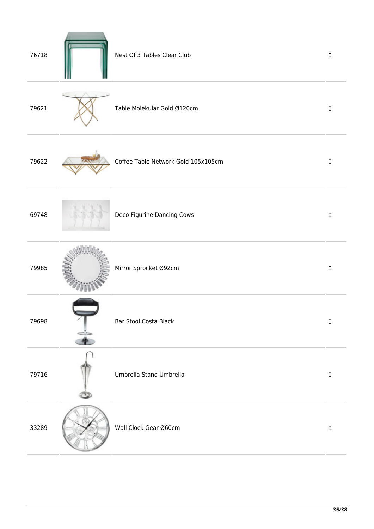| 76718 |                           | Nest Of 3 Tables Clear Club         | $\pmb{0}$   |
|-------|---------------------------|-------------------------------------|-------------|
| 79621 |                           | Table Molekular Gold Ø120cm         | $\mathbf 0$ |
| 79622 |                           | Coffee Table Network Gold 105x105cm | $\mathbf 0$ |
| 69748 |                           | Deco Figurine Dancing Cows          | $\mathbf 0$ |
| 79985 |                           | Mirror Sprocket Ø92cm               | $\pmb{0}$   |
| 79698 | $\widetilde{\phantom{a}}$ | Bar Stool Costa Black               | $\pmb{0}$   |
| 79716 |                           | Umbrella Stand Umbrella             | $\pmb{0}$   |
| 33289 |                           | Wall Clock Gear Ø60cm               | $\pmb{0}$   |
|       |                           |                                     |             |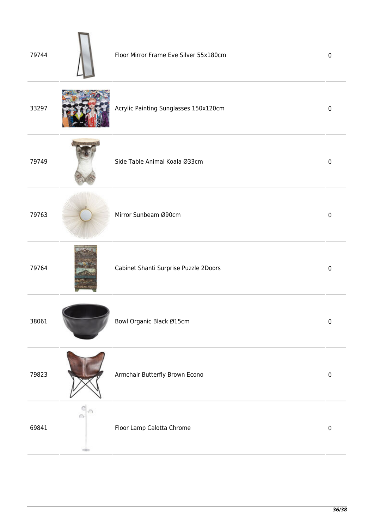| 79744 |                 | Floor Mirror Frame Eve Silver 55x180cm | $\mathbf 0$ |
|-------|-----------------|----------------------------------------|-------------|
| 33297 |                 | Acrylic Painting Sunglasses 150x120cm  | $\mathbf 0$ |
| 79749 |                 | Side Table Animal Koala Ø33cm          | $\mathbf 0$ |
| 79763 |                 | Mirror Sunbeam Ø90cm                   | $\mathbf 0$ |
| 79764 |                 | Cabinet Shanti Surprise Puzzle 2Doors  | $\pmb{0}$   |
| 38061 |                 | Bowl Organic Black Ø15cm               | $\pmb{0}$   |
| 79823 |                 | Armchair Butterfly Brown Econo         | $\pmb{0}$   |
| 69841 | ⋒<br><b>CEO</b> | Floor Lamp Calotta Chrome              | $\pmb{0}$   |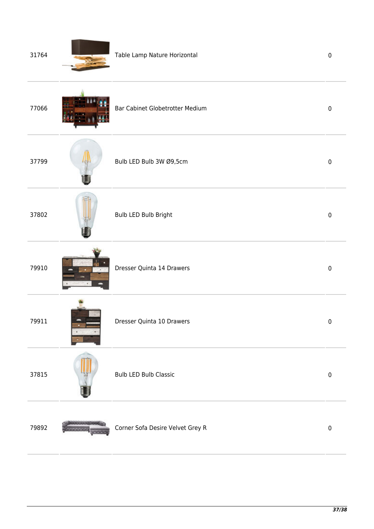| 31764 | Table Lamp Nature Horizontal     | $\pmb{0}$ |
|-------|----------------------------------|-----------|
| 77066 | Bar Cabinet Globetrotter Medium  | $\pmb{0}$ |
| 37799 | Bulb LED Bulb 3W Ø9,5cm          | $\pmb{0}$ |
| 37802 | Bulb LED Bulb Bright             | $\pmb{0}$ |
| 79910 | Dresser Quinta 14 Drawers        | $\pmb{0}$ |
| 79911 | Dresser Quinta 10 Drawers        | $\pmb{0}$ |
| 37815 | <b>Bulb LED Bulb Classic</b>     | $\pmb{0}$ |
| 79892 | Corner Sofa Desire Velvet Grey R | $\pmb{0}$ |